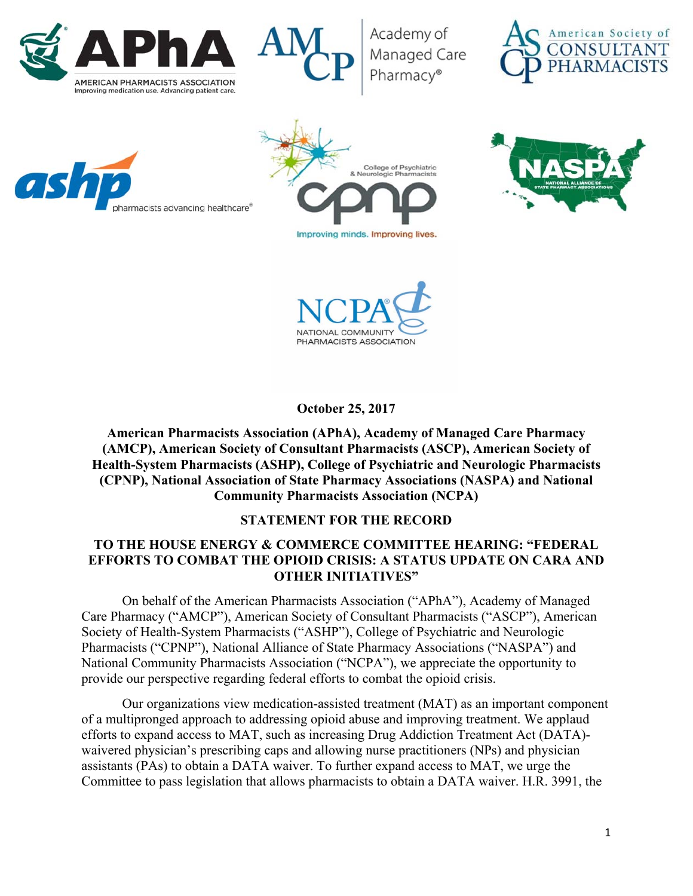



Academy of Managed Care Pharmacv®











**October 25, 2017** 

**American Pharmacists Association (APhA), Academy of Managed Care Pharmacy (AMCP), American Society of Consultant Pharmacists (ASCP), American Society of Health-System Pharmacists (ASHP), College of Psychiatric and Neurologic Pharmacists (CPNP), National Association of State Pharmacy Associations (NASPA) and National Community Pharmacists Association (NCPA)** 

## **STATEMENT FOR THE RECORD**

## **TO THE HOUSE ENERGY & COMMERCE COMMITTEE HEARING: "FEDERAL EFFORTS TO COMBAT THE OPIOID CRISIS: A STATUS UPDATE ON CARA AND OTHER INITIATIVES"**

On behalf of the American Pharmacists Association ("APhA"), Academy of Managed Care Pharmacy ("AMCP"), American Society of Consultant Pharmacists ("ASCP"), American Society of Health-System Pharmacists ("ASHP"), College of Psychiatric and Neurologic Pharmacists ("CPNP"), National Alliance of State Pharmacy Associations ("NASPA") and National Community Pharmacists Association ("NCPA"), we appreciate the opportunity to provide our perspective regarding federal efforts to combat the opioid crisis.

Our organizations view medication-assisted treatment (MAT) as an important component of a multipronged approach to addressing opioid abuse and improving treatment. We applaud efforts to expand access to MAT, such as increasing Drug Addiction Treatment Act (DATA) waivered physician's prescribing caps and allowing nurse practitioners (NPs) and physician assistants (PAs) to obtain a DATA waiver. To further expand access to MAT, we urge the Committee to pass legislation that allows pharmacists to obtain a DATA waiver. H.R. 3991, the